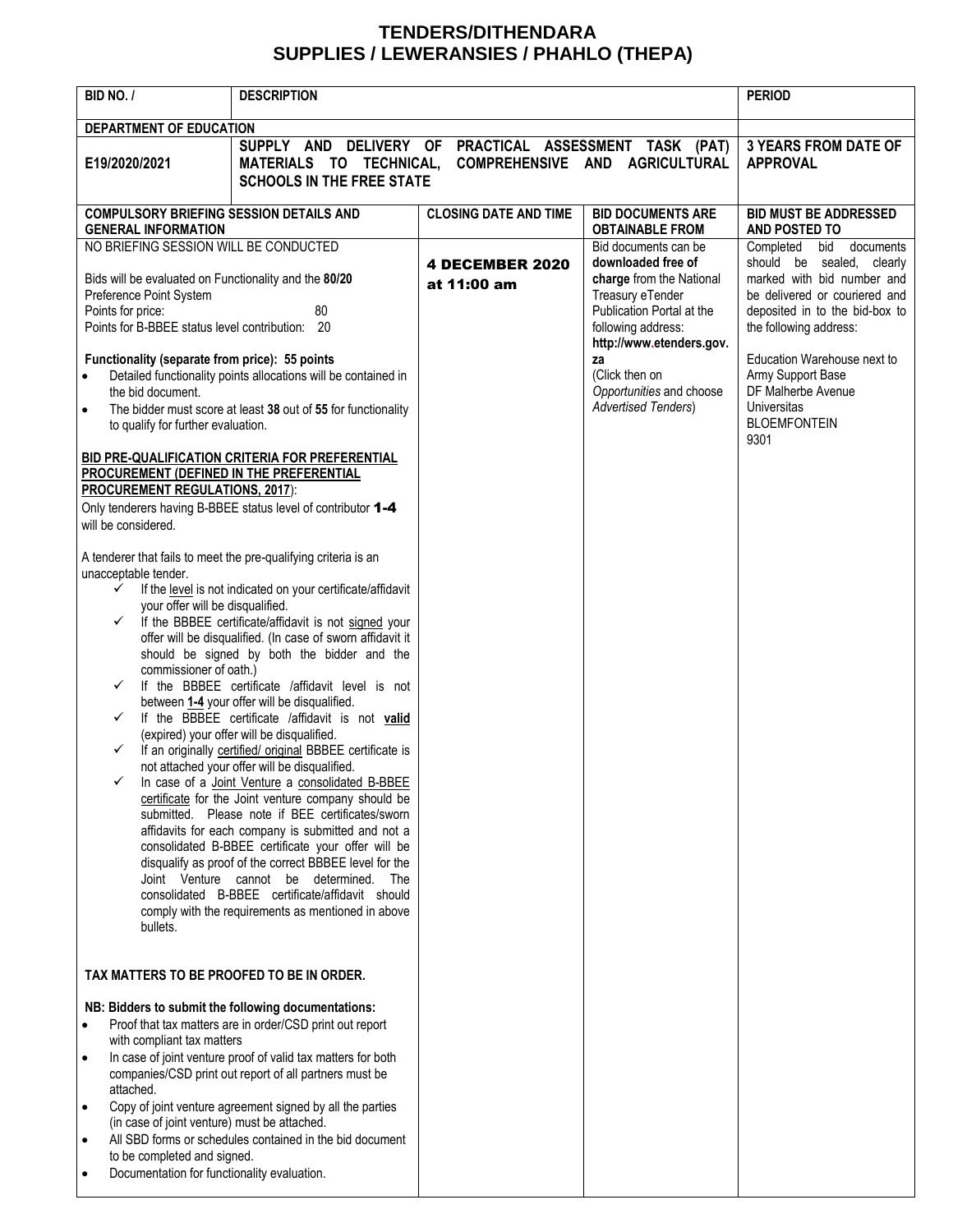## **TENDERS/DITHENDARA SUPPLIES / LEWERANSIES / PHAHLO (THEPA)**

| BID NO. /                                                                                                                             | <b>DESCRIPTION</b>                                                                                                  | <b>PERIOD</b>                               |                                                                                                 |                                                                                                                            |
|---------------------------------------------------------------------------------------------------------------------------------------|---------------------------------------------------------------------------------------------------------------------|---------------------------------------------|-------------------------------------------------------------------------------------------------|----------------------------------------------------------------------------------------------------------------------------|
| DEPARTMENT OF EDUCATION                                                                                                               |                                                                                                                     |                                             |                                                                                                 |                                                                                                                            |
| E19/2020/2021                                                                                                                         | SUPPLY AND<br>MATERIALS TO TECHNICAL,                                                                               | DELIVERY OF PRACTICAL ASSESSMENT TASK (PAT) | COMPREHENSIVE AND AGRICULTURAL                                                                  | <b>3 YEARS FROM DATE OF</b><br><b>APPROVAL</b>                                                                             |
|                                                                                                                                       | <b>SCHOOLS IN THE FREE STATE</b>                                                                                    |                                             |                                                                                                 |                                                                                                                            |
| <b>COMPULSORY BRIEFING SESSION DETAILS AND</b>                                                                                        |                                                                                                                     | <b>CLOSING DATE AND TIME</b>                | <b>BID DOCUMENTS ARE</b>                                                                        | <b>BID MUST BE ADDRESSED</b>                                                                                               |
| <b>GENERAL INFORMATION</b>                                                                                                            |                                                                                                                     |                                             | <b>OBTAINABLE FROM</b>                                                                          | AND POSTED TO                                                                                                              |
| NO BRIEFING SESSION WILL BE CONDUCTED                                                                                                 |                                                                                                                     |                                             | Bid documents can be                                                                            | Completed bid documents                                                                                                    |
| Bids will be evaluated on Functionality and the 80/20<br>Preference Point System<br>80<br>Points for price:                           |                                                                                                                     | <b>4 DECEMBER 2020</b><br>at 11:00 am       | downloaded free of<br>charge from the National<br>Treasury eTender<br>Publication Portal at the | should be sealed, clearly<br>marked with bid number and<br>be delivered or couriered and<br>deposited in to the bid-box to |
| Points for B-BBEE status level contribution: 20                                                                                       |                                                                                                                     |                                             | following address:<br>http://www.etenders.gov.                                                  | the following address:                                                                                                     |
| Functionality (separate from price): 55 points                                                                                        |                                                                                                                     |                                             | za                                                                                              | Education Warehouse next to                                                                                                |
| $\bullet$                                                                                                                             | Detailed functionality points allocations will be contained in                                                      |                                             | (Click then on                                                                                  | Army Support Base<br>DF Malherbe Avenue                                                                                    |
| the bid document.<br>The bidder must score at least 38 out of 55 for functionality<br>$\bullet$<br>to qualify for further evaluation. |                                                                                                                     |                                             | Opportunities and choose<br><b>Advertised Tenders)</b>                                          | <b>Universitas</b><br><b>BLOEMFONTEIN</b><br>9301                                                                          |
|                                                                                                                                       | BID PRE-QUALIFICATION CRITERIA FOR PREFERENTIAL                                                                     |                                             |                                                                                                 |                                                                                                                            |
| PROCUREMENT (DEFINED IN THE PREFERENTIAL<br><b>PROCUREMENT REGULATIONS, 2017):</b>                                                    |                                                                                                                     |                                             |                                                                                                 |                                                                                                                            |
| Only tenderers having B-BBEE status level of contributor 1-4                                                                          |                                                                                                                     |                                             |                                                                                                 |                                                                                                                            |
| will be considered.                                                                                                                   |                                                                                                                     |                                             |                                                                                                 |                                                                                                                            |
|                                                                                                                                       | A tenderer that fails to meet the pre-qualifying criteria is an                                                     |                                             |                                                                                                 |                                                                                                                            |
| unacceptable tender.<br>✓                                                                                                             | If the level is not indicated on your certificate/affidavit                                                         |                                             |                                                                                                 |                                                                                                                            |
| your offer will be disqualified.                                                                                                      |                                                                                                                     |                                             |                                                                                                 |                                                                                                                            |
| $\checkmark$                                                                                                                          | If the BBBEE certificate/affidavit is not signed your<br>offer will be disqualified. (In case of sworn affidavit it |                                             |                                                                                                 |                                                                                                                            |
|                                                                                                                                       | should be signed by both the bidder and the                                                                         |                                             |                                                                                                 |                                                                                                                            |
| commissioner of oath.)                                                                                                                |                                                                                                                     |                                             |                                                                                                 |                                                                                                                            |
| If the BBBEE certificate /affidavit level is not<br>✓<br>between 1-4 your offer will be disqualified.                                 |                                                                                                                     |                                             |                                                                                                 |                                                                                                                            |
| If the BBBEE certificate /affidavit is not valid<br>✓                                                                                 |                                                                                                                     |                                             |                                                                                                 |                                                                                                                            |
| ✓                                                                                                                                     | (expired) your offer will be disqualified.                                                                          |                                             |                                                                                                 |                                                                                                                            |
|                                                                                                                                       | If an originally certified/ original BBBEE certificate is<br>not attached your offer will be disqualified.          |                                             |                                                                                                 |                                                                                                                            |
|                                                                                                                                       | In case of a Joint Venture a consolidated B-BBEE                                                                    |                                             |                                                                                                 |                                                                                                                            |
|                                                                                                                                       | certificate for the Joint venture company should be<br>submitted. Please note if BEE certificates/sworn             |                                             |                                                                                                 |                                                                                                                            |
|                                                                                                                                       | affidavits for each company is submitted and not a                                                                  |                                             |                                                                                                 |                                                                                                                            |
|                                                                                                                                       | consolidated B-BBEE certificate your offer will be                                                                  |                                             |                                                                                                 |                                                                                                                            |
|                                                                                                                                       | disqualify as proof of the correct BBBEE level for the<br>Joint Venture cannot be determined. The                   |                                             |                                                                                                 |                                                                                                                            |
|                                                                                                                                       | consolidated B-BBEE certificate/affidavit should                                                                    |                                             |                                                                                                 |                                                                                                                            |
| bullets.                                                                                                                              | comply with the requirements as mentioned in above                                                                  |                                             |                                                                                                 |                                                                                                                            |
|                                                                                                                                       |                                                                                                                     |                                             |                                                                                                 |                                                                                                                            |
| TAX MATTERS TO BE PROOFED TO BE IN ORDER.                                                                                             |                                                                                                                     |                                             |                                                                                                 |                                                                                                                            |
| NB: Bidders to submit the following documentations:                                                                                   |                                                                                                                     |                                             |                                                                                                 |                                                                                                                            |
| Proof that tax matters are in order/CSD print out report<br>$\bullet$                                                                 |                                                                                                                     |                                             |                                                                                                 |                                                                                                                            |
| with compliant tax matters<br>In case of joint venture proof of valid tax matters for both<br>$\bullet$                               |                                                                                                                     |                                             |                                                                                                 |                                                                                                                            |
| companies/CSD print out report of all partners must be<br>attached.                                                                   |                                                                                                                     |                                             |                                                                                                 |                                                                                                                            |
| Copy of joint venture agreement signed by all the parties<br>$\bullet$<br>(in case of joint venture) must be attached.                |                                                                                                                     |                                             |                                                                                                 |                                                                                                                            |
| All SBD forms or schedules contained in the bid document<br>٠                                                                         |                                                                                                                     |                                             |                                                                                                 |                                                                                                                            |
| to be completed and signed.<br>Documentation for functionality evaluation.                                                            |                                                                                                                     |                                             |                                                                                                 |                                                                                                                            |
|                                                                                                                                       |                                                                                                                     |                                             |                                                                                                 |                                                                                                                            |